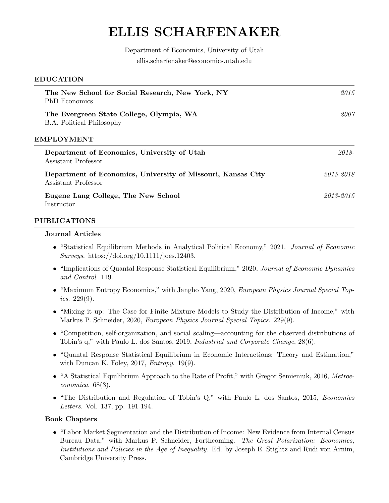# ELLIS SCHARFENAKER

# Department of Economics, University of Utah ellis.scharfenaker@economics.utah.edu

| <b>EDUCATION</b> |  |
|------------------|--|
|------------------|--|

| The New School for Social Research, New York, NY<br><b>PhD</b> Economics            | 2015      |
|-------------------------------------------------------------------------------------|-----------|
| The Evergreen State College, Olympia, WA<br><b>B.A.</b> Political Philosophy        | 2007      |
| EMPLOYMENT                                                                          |           |
| Department of Economics, University of Utah<br>Assistant Professor                  | 2018-     |
| Department of Economics, University of Missouri, Kansas City<br>Assistant Professor | 2015-2018 |
| Eugene Lang College, The New School<br>Instructor                                   | 2013-2015 |
|                                                                                     |           |

#### PUBLICATIONS

#### Journal Articles

- "Statistical Equilibrium Methods in Analytical Political Economy," 2021. Journal of Economic Surveys. https://doi.org/10.1111/joes.12403.
- "Implications of Quantal Response Statistical Equilibrium," 2020, Journal of Economic Dynamics and Control. 119.
- "Maximum Entropy Economics," with Jangho Yang, 2020, *European Physics Journal Special Topics.* 229 $(9)$ .
- "Mixing it up: The Case for Finite Mixture Models to Study the Distribution of Income," with Markus P. Schneider, 2020, European Physics Journal Special Topics. 229(9).
- "Competition, self-organization, and social scaling—accounting for the observed distributions of Tobin's q," with Paulo L. dos Santos, 2019, Industrial and Corporate Change, 28(6).
- "Quantal Response Statistical Equilibrium in Economic Interactions: Theory and Estimation," with Duncan K. Foley, 2017, *Entropy*. 19(9).
- "A Statistical Equilibrium Approach to the Rate of Profit," with Gregor Semieniuk, 2016, Metroeconomica. 68(3).
- "The Distribution and Regulation of Tobin's Q," with Paulo L. dos Santos, 2015, Economics Letters. Vol. 137, pp. 191-194.

#### Book Chapters

• "Labor Market Segmentation and the Distribution of Income: New Evidence from Internal Census Bureau Data," with Markus P. Schneider, Forthcoming. The Great Polarization: Economics, Institutions and Policies in the Age of Inequality. Ed. by Joseph E. Stiglitz and Rudi von Arnim, Cambridge University Press.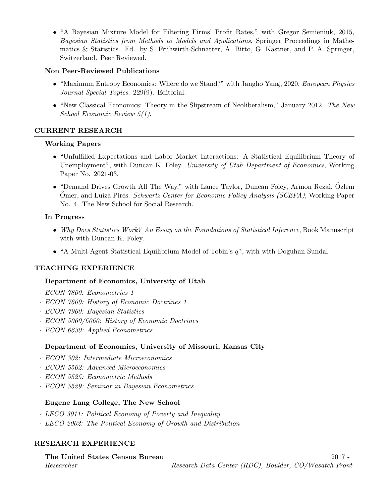• "A Bayesian Mixture Model for Filtering Firms' Profit Rates," with Gregor Semieniuk, 2015, Bayesian Statistics from Methods to Models and Applications, Springer Proceedings in Mathematics  $&$  Statistics. Ed. by S. Frühwirth-Schnatter, A. Bitto, G. Kastner, and P. A. Springer, Switzerland. Peer Reviewed.

#### Non Peer-Reviewed Publications

- "Maximum Entropy Economics: Where do we Stand?" with Jangho Yang, 2020, European Physics Journal Special Topics. 229(9). Editorial.
- "New Classical Economics: Theory in the Slipstream of Neoliberalism," January 2012. The New School Economic Review 5(1).

# CURRENT RESEARCH

# Working Papers

- "Unfulfilled Expectations and Labor Market Interactions: A Statistical Equilibrium Theory of Unemployment", with Duncan K. Foley. University of Utah Department of Economics, Working Paper No. 2021-03.
- "Demand Drives Growth All The Way," with Lance Taylor, Duncan Foley, Armon Rezai, Ozlem Ömer, and Luiza Pires. Schwartz Center for Economic Policy Analysis (SCEPA), Working Paper No. 4. The New School for Social Research.

# In Progress

- Why Does Statistics Work? An Essay on the Foundations of Statistical Inference, Book Manuscript with with Duncan K. Foley.
- "A Multi-Agent Statistical Equilibrium Model of Tobin's q", with with Doguhan Sundal.

# TEACHING EXPERIENCE

# Department of Economics, University of Utah

- · ECON 7800: Econometrics 1
- · ECON 7600: History of Economic Doctrines 1
- · ECON 7960: Bayesian Statistics
- · ECON 5060/6060: History of Economic Doctrines
- · ECON 6630: Applied Econometrics

# Department of Economics, University of Missouri, Kansas City

- · ECON 302: Intermediate Microeconomics
- · ECON 5502: Advanced Microeconomics
- · ECON 5525: Econometric Methods
- · ECON 5529: Seminar in Bayesian Econometrics

# Eugene Lang College, The New School

- · LECO 3011: Political Economy of Poverty and Inequality
- · LECO 2002: The Political Economy of Growth and Distribution

# RESEARCH EXPERIENCE

# The United States Census Bureau 2017 - 2017 -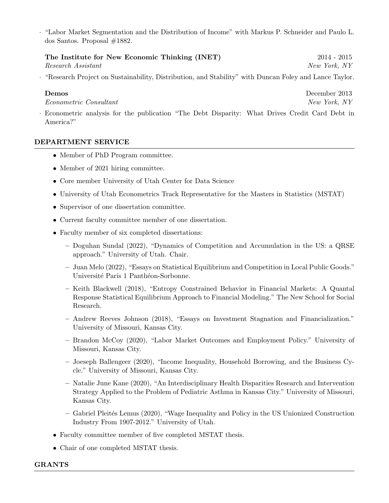· "Labor Market Segmentation and the Distribution of Income" with Markus P. Schneider and Paulo L. dos Santos. Proposal #1882.

The Institute for New Economic Thinking (INET) 2014 - 2015 Research Assistant New York, NY

· "Research Project on Sustainability, Distribution, and Stability" with Duncan Foley and Lance Taylor.

Econometric Consultant  $New\ Y$ 

Demos December 2013

· Econometric analysis for the publication "The Debt Disparity: What Drives Credit Card Debt in America?"

#### DEPARTMENT SERVICE

- Member of PhD Program committee.
- Member of 2021 hiring committee.
- Core member University of Utah Center for Data Science
- University of Utah Econometrics Track Representative for the Masters in Statistics (MSTAT)
- Supervisor of one dissertation committee.
- Current faculty committee member of one dissertation.
- Faculty member of six completed dissertations:
	- Doguhan Sundal (2022), "Dynamics of Competition and Accumulation in the US: a QRSE approach." University of Utah. Chair.
	- Juan Melo (2022), "Essays on Statistical Equilibrium and Competition in Local Public Goods." Université Paris 1 Panthéon-Sorbonne.
	- Keith Blackwell (2018), "Entropy Constrained Behavior in Financial Markets: A Quantal Response Statistical Equilibrium Approach to Financial Modeling." The New School for Social Research.
	- Andrew Reeves Johnson (2018), "Essays on Investment Stagnation and Financialization." University of Missouri, Kansas City.
	- Brandon McCoy (2020), "Labor Market Outcomes and Employment Policy." University of Missouri, Kansas City.
	- Joeseph Ballengeer (2020), "Income Inequality, Household Borrowing, and the Business Cycle." University of Missouri, Kansas City.
	- Natalie June Kane (2020), "An Interdisciplinary Health Disparities Research and Intervention Strategy Applied to the Problem of Pediatric Asthma in Kansas City." University of Missouri, Kansas City.
	- Gabriel Pleit´es Lemus (2020), "Wage Inequality and Policy in the US Unionized Construction Industry From 1907-2012." University of Utah.
- Faculty committee member of five completed MSTAT thesis.
- Chair of one completed MSTAT thesis.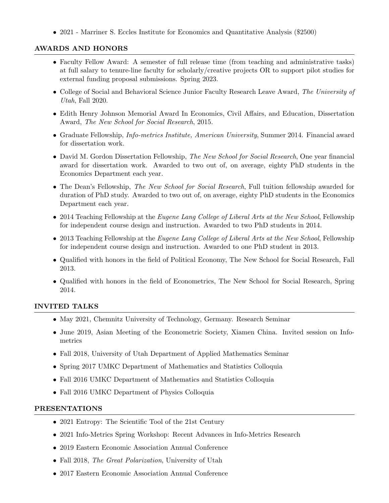• 2021 - Marriner S. Eccles Institute for Economics and Quantitative Analysis (\$2500)

# AWARDS AND HONORS

- Faculty Fellow Award: A semester of full release time (from teaching and administrative tasks) at full salary to tenure-line faculty for scholarly/creative projects OR to support pilot studies for external funding proposal submissions. Spring 2023.
- College of Social and Behavioral Science Junior Faculty Research Leave Award, The University of Utah, Fall 2020.
- Edith Henry Johnson Memorial Award In Economics, Civil Affairs, and Education, Dissertation Award, The New School for Social Research, 2015.
- Graduate Fellowship, Info-metrics Institute, American University, Summer 2014. Financial award for dissertation work.
- David M. Gordon Dissertation Fellowship, The New School for Social Research, One year financial award for dissertation work. Awarded to two out of, on average, eighty PhD students in the Economics Department each year.
- The Dean's Fellowship, *The New School for Social Research*, Full tuition fellowship awarded for duration of PhD study. Awarded to two out of, on average, eighty PhD students in the Economics Department each year.
- 2014 Teaching Fellowship at the Eugene Lang College of Liberal Arts at the New School, Fellowship for independent course design and instruction. Awarded to two PhD students in 2014.
- 2013 Teaching Fellowship at the *Eugene Lang College of Liberal Arts at the New School*, Fellowship for independent course design and instruction. Awarded to one PhD student in 2013.
- Qualified with honors in the field of Political Economy, The New School for Social Research, Fall 2013.
- Qualified with honors in the field of Econometrics, The New School for Social Research, Spring 2014.

#### INVITED TALKS

- May 2021, Chemnitz University of Technology, Germany. Research Seminar
- June 2019, Asian Meeting of the Econometric Society, Xiamen China. Invited session on Infometrics
- Fall 2018, University of Utah Department of Applied Mathematics Seminar
- Spring 2017 UMKC Department of Mathematics and Statistics Colloquia
- Fall 2016 UMKC Department of Mathematics and Statistics Colloquia
- Fall 2016 UMKC Department of Physics Colloquia

#### PRESENTATIONS

- 2021 Entropy: The Scientific Tool of the 21st Century
- 2021 Info-Metrics Spring Workshop: Recent Advances in Info-Metrics Research
- 2019 Eastern Economic Association Annual Conference
- Fall 2018, The Great Polarization, University of Utah
- 2017 Eastern Economic Association Annual Conference